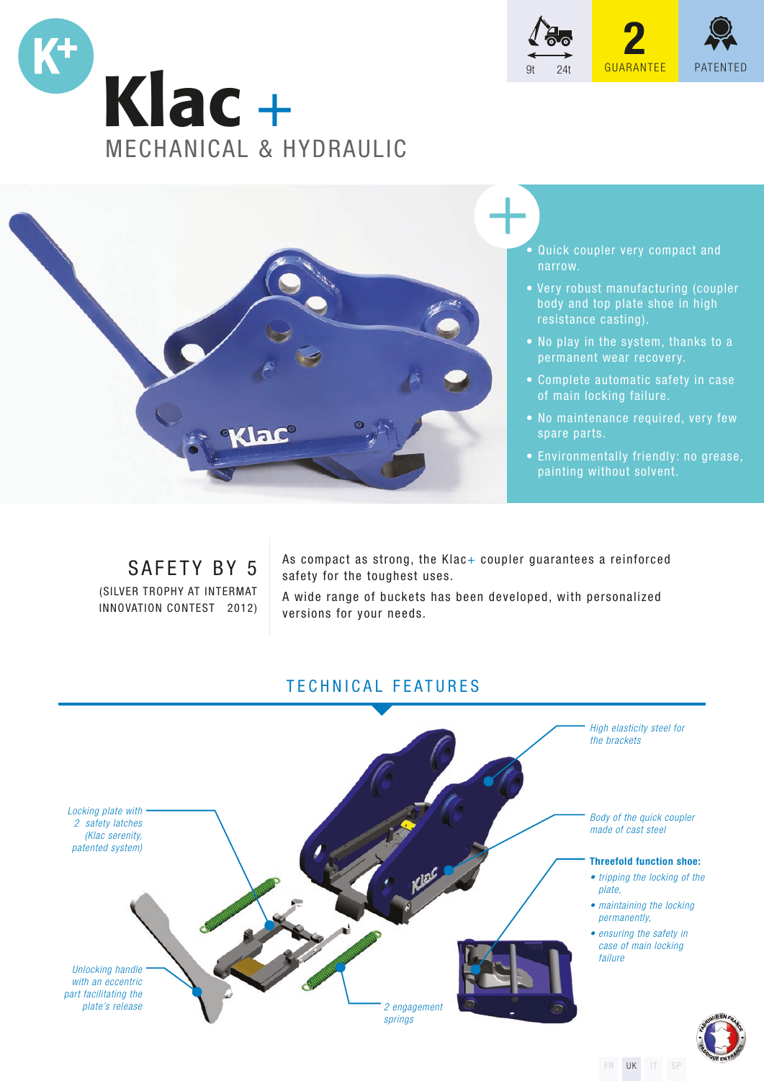





- Quick coupler very compact and narrow.
- Very robust manufacturing (coupler body and top plate shoe in high resistance casting).
- No play in the system, thanks to a permanent wear recovery.
- Complete automatic safety in case of main locking failure.
- No maintenance required, very few spare parts.
- Environmentally friendly: no grease, painting without solvent.

# SAFETY BY 5

(SILVER TROPHY AT INTERMAT INNOVATION CONTEST 2012) As compact as strong, the Klac+ coupler guarantees a reinforced safety for the toughest uses.

A wide range of buckets has been developed, with personalized versions for your needs.

# TECHNICAL FEATURES



FR UK IT SP